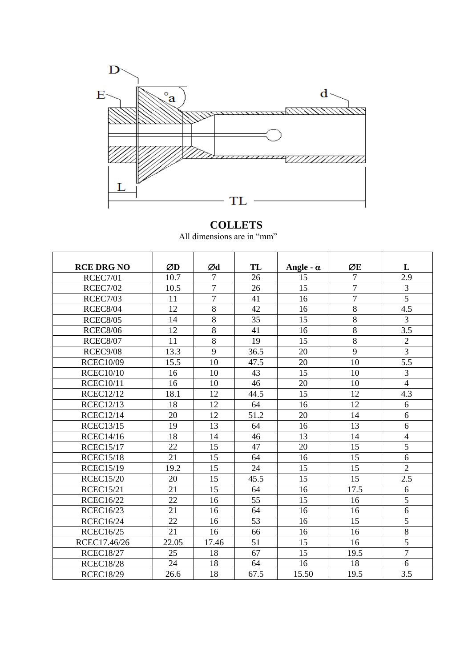

## **COLLETS**

| All dimensions are in "mm" |  |  |  |  |  |  |
|----------------------------|--|--|--|--|--|--|
|----------------------------|--|--|--|--|--|--|

| <b>RCE DRG NO</b> | ØD    | Ød             | TL   | Angle - $\alpha$ | ØE             | L              |
|-------------------|-------|----------------|------|------------------|----------------|----------------|
| <b>RCEC7/01</b>   | 10.7  | $\overline{7}$ | 26   | 15               | $\overline{7}$ | 2.9            |
| <b>RCEC7/02</b>   | 10.5  | $\overline{7}$ | 26   | 15               | $\overline{7}$ | $\overline{3}$ |
| <b>RCEC7/03</b>   | 11    | 7              | 41   | 16               | 7              | $\overline{5}$ |
| <b>RCEC8/04</b>   | 12    | 8              | 42   | 16               | $\overline{8}$ | 4.5            |
| <b>RCEC8/05</b>   | 14    | 8              | 35   | 15               | 8              | 3              |
| <b>RCEC8/06</b>   | 12    | 8              | 41   | 16               | 8              | 3.5            |
| <b>RCEC8/07</b>   | 11    | 8              | 19   | 15               | 8              | $\overline{2}$ |
| RCEC9/08          | 13.3  | 9              | 36.5 | 20               | 9              | $\overline{3}$ |
| <b>RCEC10/09</b>  | 15.5  | 10             | 47.5 | 20               | 10             | 5.5            |
| <b>RCEC10/10</b>  | 16    | 10             | 43   | 15               | 10             | 3              |
| <b>RCEC10/11</b>  | 16    | 10             | 46   | 20               | 10             | $\overline{4}$ |
| <b>RCEC12/12</b>  | 18.1  | 12             | 44.5 | 15               | 12             | 4.3            |
| <b>RCEC12/13</b>  | 18    | 12             | 64   | 16               | 12             | 6              |
| <b>RCEC12/14</b>  | 20    | 12             | 51.2 | 20               | 14             | 6              |
| <b>RCEC13/15</b>  | 19    | 13             | 64   | 16               | 13             | 6              |
| <b>RCEC14/16</b>  | 18    | 14             | 46   | 13               | 14             | $\overline{4}$ |
| <b>RCEC15/17</b>  | 22    | 15             | 47   | 20               | 15             | 5              |
| <b>RCEC15/18</b>  | 21    | 15             | 64   | 16               | 15             | 6              |
| <b>RCEC15/19</b>  | 19.2  | 15             | 24   | 15               | 15             | $\overline{2}$ |
| <b>RCEC15/20</b>  | 20    | 15             | 45.5 | 15               | 15             | 2.5            |
| <b>RCEC15/21</b>  | 21    | 15             | 64   | 16               | 17.5           | 6              |
| <b>RCEC16/22</b>  | 22    | 16             | 55   | 15               | 16             | 5              |
| <b>RCEC16/23</b>  | 21    | 16             | 64   | 16               | 16             | $\overline{6}$ |
| <b>RCEC16/24</b>  | 22    | 16             | 53   | 16               | 15             | 5              |
| <b>RCEC16/25</b>  | 21    | 16             | 66   | 16               | 16             | 8              |
| RCEC17.46/26      | 22.05 | 17.46          | 51   | 15               | 16             | $\overline{5}$ |
| <b>RCEC18/27</b>  | 25    | 18             | 67   | 15               | 19.5           | $\overline{7}$ |
| <b>RCEC18/28</b>  | 24    | 18             | 64   | 16               | 18             | 6              |
| <b>RCEC18/29</b>  | 26.6  | 18             | 67.5 | 15.50            | 19.5           | 3.5            |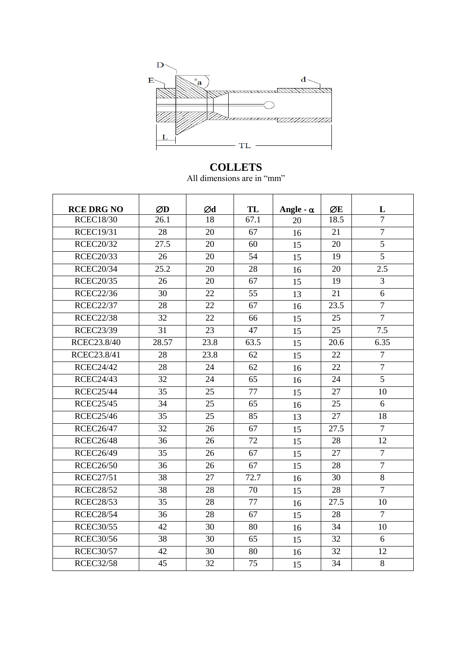

## **COLLETS**

All dimensions are in "mm"

| <b>RCE DRG NO</b> | ØD    | Ød   | TL   | Angle - $\alpha$ | ØE   | L              |
|-------------------|-------|------|------|------------------|------|----------------|
| <b>RCEC18/30</b>  | 26.1  | 18   | 67.1 | 20               | 18.5 | $\overline{7}$ |
| <b>RCEC19/31</b>  | 28    | 20   | 67   | 16               | 21   | $\overline{7}$ |
| <b>RCEC20/32</b>  | 27.5  | 20   | 60   | 15               | 20   | $\overline{5}$ |
| <b>RCEC20/33</b>  | 26    | 20   | 54   | 15               | 19   | $\overline{5}$ |
| <b>RCEC20/34</b>  | 25.2  | 20   | 28   | 16               | 20   | 2.5            |
| <b>RCEC20/35</b>  | 26    | 20   | 67   | 15               | 19   | 3              |
| <b>RCEC22/36</b>  | 30    | 22   | 55   | 13               | 21   | 6              |
| <b>RCEC22/37</b>  | 28    | 22   | 67   | 16               | 23.5 | $\overline{7}$ |
| <b>RCEC22/38</b>  | 32    | 22   | 66   | 15               | 25   | $\overline{7}$ |
| <b>RCEC23/39</b>  | 31    | 23   | 47   | 15               | 25   | 7.5            |
| RCEC23.8/40       | 28.57 | 23.8 | 63.5 | 15               | 20.6 | 6.35           |
| RCEC23.8/41       | 28    | 23.8 | 62   | 15               | 22   | $\tau$         |
| <b>RCEC24/42</b>  | 28    | 24   | 62   | 16               | 22   | $\overline{7}$ |
| <b>RCEC24/43</b>  | 32    | 24   | 65   | 16               | 24   | 5              |
| <b>RCEC25/44</b>  | 35    | 25   | 77   | 15               | 27   | 10             |
| <b>RCEC25/45</b>  | 34    | 25   | 65   | 16               | 25   | 6              |
| <b>RCEC25/46</b>  | 35    | 25   | 85   | 13               | 27   | 18             |
| <b>RCEC26/47</b>  | 32    | 26   | 67   | 15               | 27.5 | $\overline{7}$ |
| <b>RCEC26/48</b>  | 36    | 26   | 72   | 15               | 28   | 12             |
| <b>RCEC26/49</b>  | 35    | 26   | 67   | 15               | 27   | $\overline{7}$ |
| <b>RCEC26/50</b>  | 36    | 26   | 67   | 15               | 28   | $\overline{7}$ |
| <b>RCEC27/51</b>  | 38    | 27   | 72.7 | 16               | 30   | 8              |
| <b>RCEC28/52</b>  | 38    | 28   | 70   | 15               | 28   | $\overline{7}$ |
| <b>RCEC28/53</b>  | 35    | 28   | 77   | 16               | 27.5 | 10             |
| <b>RCEC28/54</b>  | 36    | 28   | 67   | 15               | 28   | $\overline{7}$ |
| <b>RCEC30/55</b>  | 42    | 30   | 80   | 16               | 34   | 10             |
| <b>RCEC30/56</b>  | 38    | 30   | 65   | 15               | 32   | 6              |
| <b>RCEC30/57</b>  | 42    | 30   | 80   | 16               | 32   | 12             |
| <b>RCEC32/58</b>  | 45    | 32   | 75   | 15               | 34   | 8              |